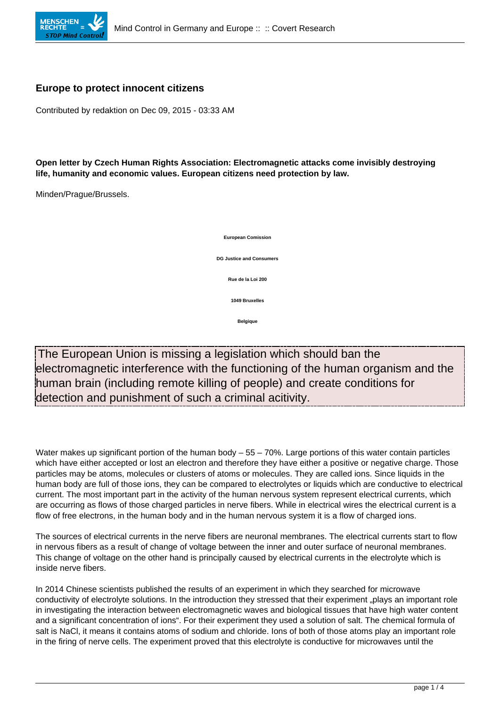

## **Europe to protect innocent citizens**

Contributed by redaktion on Dec 09, 2015 - 03:33 AM

**Open letter by Czech Human Rights Association: Electromagnetic attacks come invisibly destroying life, humanity and economic values. European citizens need protection by law.**

Minden/Prague/Brussels.



The European Union is missing a legislation which should ban the electromagnetic interference with the functioning of the human organism and the human brain (including remote killing of people) and create conditions for detection and punishment of such a criminal acitivity.

Water makes up significant portion of the human body – 55 – 70%. Large portions of this water contain particles which have either accepted or lost an electron and therefore they have either a positive or negative charge. Those particles may be atoms, molecules or clusters of atoms or molecules. They are called ions. Since liquids in the human body are full of those ions, they can be compared to electrolytes or liquids which are conductive to electrical current. The most important part in the activity of the human nervous system represent electrical currents, which are occurring as flows of those charged particles in nerve fibers. While in electrical wires the electrical current is a flow of free electrons, in the human body and in the human nervous system it is a flow of charged ions.

The sources of electrical currents in the nerve fibers are neuronal membranes. The electrical currents start to flow in nervous fibers as a result of change of voltage between the inner and outer surface of neuronal membranes. This change of voltage on the other hand is principally caused by electrical currents in the electrolyte which is inside nerve fibers.

In 2014 Chinese scientists published the results of an experiment in which they searched for microwave conductivity of electrolyte solutions. In the introduction they stressed that their experiment "plays an important role in investigating the interaction between electromagnetic waves and biological tissues that have high water content and a significant concentration of ions". For their experiment they used a solution of salt. The chemical formula of salt is NaCl, it means it contains atoms of sodium and chloride. Ions of both of those atoms play an important role in the firing of nerve cells. The experiment proved that this electrolyte is conductive for microwaves until the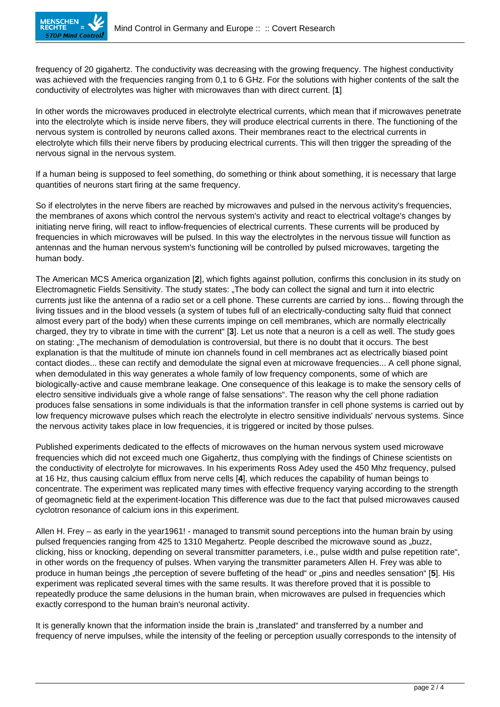

frequency of 20 gigahertz. The conductivity was decreasing with the growing frequency. The highest conductivity was achieved with the frequencies ranging from 0,1 to 6 GHz. For the solutions with higher contents of the salt the conductivity of electrolytes was higher with microwaves than with direct current. [**1**]

In other words the microwaves produced in electrolyte electrical currents, which mean that if microwaves penetrate into the electrolyte which is inside nerve fibers, they will produce electrical currents in there. The functioning of the nervous system is controlled by neurons called axons. Their membranes react to the electrical currents in electrolyte which fills their nerve fibers by producing electrical currents. This will then trigger the spreading of the nervous signal in the nervous system.

If a human being is supposed to feel something, do something or think about something, it is necessary that large quantities of neurons start firing at the same frequency.

So if electrolytes in the nerve fibers are reached by microwaves and pulsed in the nervous activity's frequencies, the membranes of axons which control the nervous system's activity and react to electrical voltage's changes by initiating nerve firing, will react to inflow-frequencies of electrical currents. These currents will be produced by frequencies in which microwaves will be pulsed. In this way the electrolytes in the nervous tissue will function as antennas and the human nervous system's functioning will be controlled by pulsed microwaves, targeting the human body.

The American MCS America organization [**2**], which fights against pollution, confirms this conclusion in its study on Electromagnetic Fields Sensitivity. The study states: "The body can collect the signal and turn it into electric currents just like the antenna of a radio set or a cell phone. These currents are carried by ions... flowing through the living tissues and in the blood vessels (a system of tubes full of an electrically-conducting salty fluid that connect almost every part of the body) when these currents impinge on cell membranes, which are normally electrically charged, they try to vibrate in time with the current" [**3**]. Let us note that a neuron is a cell as well. The study goes on stating: "The mechanism of demodulation is controversial, but there is no doubt that it occurs. The best explanation is that the multitude of minute ion channels found in cell membranes act as electrically biased point contact diodes... these can rectify and demodulate the signal even at microwave frequencies... A cell phone signal, when demodulated in this way generates a whole family of low frequency components, some of which are biologically-active and cause membrane leakage. One consequence of this leakage is to make the sensory cells of electro sensitive individuals give a whole range of false sensations". The reason why the cell phone radiation produces false sensations in some individuals is that the information transfer in cell phone systems is carried out by low frequency microwave pulses which reach the electrolyte in electro sensitive individuals' nervous systems. Since the nervous activity takes place in low frequencies, it is triggered or incited by those pulses.

Published experiments dedicated to the effects of microwaves on the human nervous system used microwave frequencies which did not exceed much one Gigahertz, thus complying with the findings of Chinese scientists on the conductivity of electrolyte for microwaves. In his experiments Ross Adey used the 450 Mhz frequency, pulsed at 16 Hz, thus causing calcium efflux from nerve cells [**4**], which reduces the capability of human beings to concentrate. The experiment was replicated many times with effective frequency varying according to the strength of geomagnetic field at the experiment-location This difference was due to the fact that pulsed microwaves caused cyclotron resonance of calcium ions in this experiment.

Allen H. Frey – as early in the year1961! - managed to transmit sound perceptions into the human brain by using pulsed frequencies ranging from 425 to 1310 Megahertz. People described the microwave sound as "buzz, clicking, hiss or knocking, depending on several transmitter parameters, i.e., pulse width and pulse repetition rate", in other words on the frequency of pulses. When varying the transmitter parameters Allen H. Frey was able to produce in human beings "the perception of severe buffeting of the head" or "pins and needles sensation" [5]. His experiment was replicated several times with the same results. It was therefore proved that it is possible to repeatedly produce the same delusions in the human brain, when microwaves are pulsed in frequencies which exactly correspond to the human brain's neuronal activity.

It is generally known that the information inside the brain is "translated" and transferred by a number and frequency of nerve impulses, while the intensity of the feeling or perception usually corresponds to the intensity of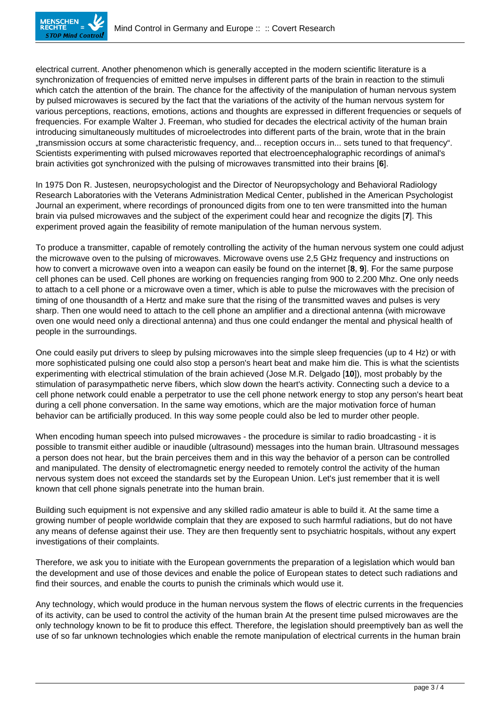electrical current. Another phenomenon which is generally accepted in the modern scientific literature is a synchronization of frequencies of emitted nerve impulses in different parts of the brain in reaction to the stimuli which catch the attention of the brain. The chance for the affectivity of the manipulation of human nervous system by pulsed microwaves is secured by the fact that the variations of the activity of the human nervous system for various perceptions, reactions, emotions, actions and thoughts are expressed in different frequencies or sequels of frequencies. For example Walter J. Freeman, who studied for decades the electrical activity of the human brain introducing simultaneously multitudes of microelectrodes into different parts of the brain, wrote that in the brain "transmission occurs at some characteristic frequency, and... reception occurs in... sets tuned to that frequency". Scientists experimenting with pulsed microwaves reported that electroencephalographic recordings of animal's brain activities got synchronized with the pulsing of microwaves transmitted into their brains [**6**].

In 1975 Don R. Justesen, neuropsychologist and the Director of Neuropsychology and Behavioral Radiology Research Laboratories with the Veterans Administration Medical Center, published in the American Psychologist Journal an experiment, where recordings of pronounced digits from one to ten were transmitted into the human brain via pulsed microwaves and the subject of the experiment could hear and recognize the digits [**7**]. This experiment proved again the feasibility of remote manipulation of the human nervous system.

To produce a transmitter, capable of remotely controlling the activity of the human nervous system one could adjust the microwave oven to the pulsing of microwaves. Microwave ovens use 2,5 GHz frequency and instructions on how to convert a microwave oven into a weapon can easily be found on the internet [**8**, **9**]. For the same purpose cell phones can be used. Cell phones are working on frequencies ranging from 900 to 2.200 Mhz. One only needs to attach to a cell phone or a microwave oven a timer, which is able to pulse the microwaves with the precision of timing of one thousandth of a Hertz and make sure that the rising of the transmitted waves and pulses is very sharp. Then one would need to attach to the cell phone an amplifier and a directional antenna (with microwave oven one would need only a directional antenna) and thus one could endanger the mental and physical health of people in the surroundings.

One could easily put drivers to sleep by pulsing microwaves into the simple sleep frequencies (up to 4 Hz) or with more sophisticated pulsing one could also stop a person's heart beat and make him die. This is what the scientists experimenting with electrical stimulation of the brain achieved (Jose M.R. Delgado [**10**]), most probably by the stimulation of parasympathetic nerve fibers, which slow down the heart's activity. Connecting such a device to a cell phone network could enable a perpetrator to use the cell phone network energy to stop any person's heart beat during a cell phone conversation. In the same way emotions, which are the major motivation force of human behavior can be artificially produced. In this way some people could also be led to murder other people.

When encoding human speech into pulsed microwaves - the procedure is similar to radio broadcasting - it is possible to transmit either audible or inaudible (ultrasound) messages into the human brain. Ultrasound messages a person does not hear, but the brain perceives them and in this way the behavior of a person can be controlled and manipulated. The density of electromagnetic energy needed to remotely control the activity of the human nervous system does not exceed the standards set by the European Union. Let's just remember that it is well known that cell phone signals penetrate into the human brain.

Building such equipment is not expensive and any skilled radio amateur is able to build it. At the same time a growing number of people worldwide complain that they are exposed to such harmful radiations, but do not have any means of defense against their use. They are then frequently sent to psychiatric hospitals, without any expert investigations of their complaints.

Therefore, we ask you to initiate with the European governments the preparation of a legislation which would ban the development and use of those devices and enable the police of European states to detect such radiations and find their sources, and enable the courts to punish the criminals which would use it.

Any technology, which would produce in the human nervous system the flows of electric currents in the frequencies of its activity, can be used to control the activity of the human brain At the present time pulsed microwaves are the only technology known to be fit to produce this effect. Therefore, the legislation should preemptively ban as well the use of so far unknown technologies which enable the remote manipulation of electrical currents in the human brain